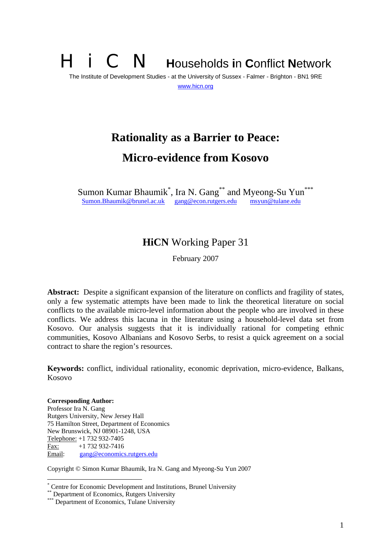## **i** C **N Households in Conflict Network** The Institute of Development Studies - at the University of Sussex - Falmer - Brighton - BN1 9RE www.hicn.org

# **Rationality as a Barrier to Peace: Micro-evidence from Kosovo**

Sumon Kumar Bhaumik<sup>\*</sup>, Ira N. Gang<sup>\*\*</sup> and Myeong-Su Yun<sup>\*\*\*</sup> Sumon.Bhaumik@brunel.ac.uk gang@econ.rutgers.edu msyun@tulane.edu

## **HiCN** Working Paper 31

February 2007

Abstract: Despite a significant expansion of the literature on conflicts and fragility of states, only a few systematic attempts have been made to link the theoretical literature on social conflicts to the available micro-level information about the people who are involved in these conflicts. We address this lacuna in the literature using a household-level data set from Kosovo. Our analysis suggests that it is individually rational for competing ethnic communities, Kosovo Albanians and Kosovo Serbs, to resist a quick agreement on a social contract to share the region's resources.

**Keywords:** conflict, individual rationality, economic deprivation, micro-evidence, Balkans, Kosovo

**Corresponding Author:** Professor Ira N. Gang Rutgers University, New Jersey Hall 75 Hamilton Street, Department of Economics New Brunswick, NJ 08901-1248, USA Telephone: +1 732 932-7405 Fax: +1 732 932-7416 Email: gang@economics.rutgers.edu

Copyright © Simon Kumar Bhaumik, Ira N. Gang and Myeong-Su Yun 2007

 \* Centre for Economic Development and Institutions, Brunel University

<sup>\*</sup> Department of Economics, Rutgers University

<sup>\*\*\*</sup> Department of Economics, Tulane University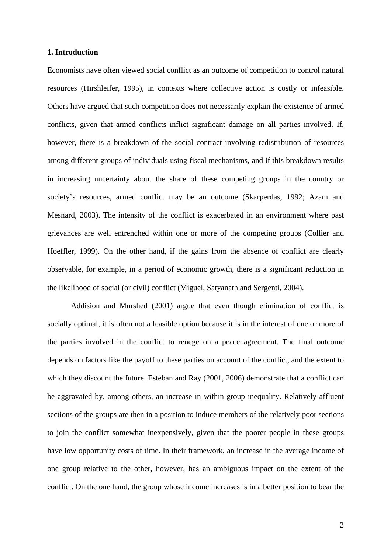#### **1. Introduction**

Economists have often viewed social conflict as an outcome of competition to control natural resources (Hirshleifer, 1995), in contexts where collective action is costly or infeasible. Others have argued that such competition does not necessarily explain the existence of armed conflicts, given that armed conflicts inflict significant damage on all parties involved. If, however, there is a breakdown of the social contract involving redistribution of resources among different groups of individuals using fiscal mechanisms, and if this breakdown results in increasing uncertainty about the share of these competing groups in the country or society's resources, armed conflict may be an outcome (Skarperdas, 1992; Azam and Mesnard, 2003). The intensity of the conflict is exacerbated in an environment where past grievances are well entrenched within one or more of the competing groups (Collier and Hoeffler, 1999). On the other hand, if the gains from the absence of conflict are clearly observable, for example, in a period of economic growth, there is a significant reduction in the likelihood of social (or civil) conflict (Miguel, Satyanath and Sergenti, 2004).

Addision and Murshed (2001) argue that even though elimination of conflict is socially optimal, it is often not a feasible option because it is in the interest of one or more of the parties involved in the conflict to renege on a peace agreement. The final outcome depends on factors like the payoff to these parties on account of the conflict, and the extent to which they discount the future. Esteban and Ray (2001, 2006) demonstrate that a conflict can be aggravated by, among others, an increase in within-group inequality. Relatively affluent sections of the groups are then in a position to induce members of the relatively poor sections to join the conflict somewhat inexpensively, given that the poorer people in these groups have low opportunity costs of time. In their framework, an increase in the average income of one group relative to the other, however, has an ambiguous impact on the extent of the conflict. On the one hand, the group whose income increases is in a better position to bear the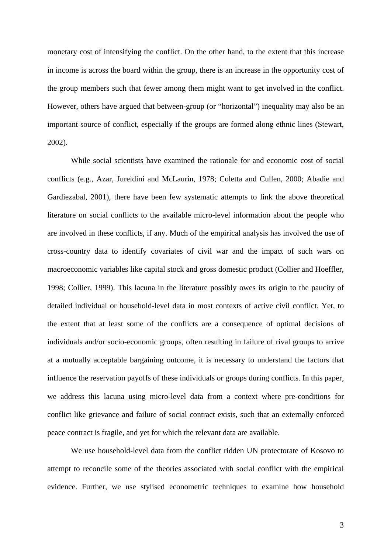monetary cost of intensifying the conflict. On the other hand, to the extent that this increase in income is across the board within the group, there is an increase in the opportunity cost of the group members such that fewer among them might want to get involved in the conflict. However, others have argued that between-group (or "horizontal") inequality may also be an important source of conflict, especially if the groups are formed along ethnic lines (Stewart, 2002).

While social scientists have examined the rationale for and economic cost of social conflicts (e.g., Azar, Jureidini and McLaurin, 1978; Coletta and Cullen, 2000; Abadie and Gardiezabal, 2001), there have been few systematic attempts to link the above theoretical literature on social conflicts to the available micro-level information about the people who are involved in these conflicts, if any. Much of the empirical analysis has involved the use of cross-country data to identify covariates of civil war and the impact of such wars on macroeconomic variables like capital stock and gross domestic product (Collier and Hoeffler, 1998; Collier, 1999). This lacuna in the literature possibly owes its origin to the paucity of detailed individual or household-level data in most contexts of active civil conflict. Yet, to the extent that at least some of the conflicts are a consequence of optimal decisions of individuals and/or socio-economic groups, often resulting in failure of rival groups to arrive at a mutually acceptable bargaining outcome, it is necessary to understand the factors that influence the reservation payoffs of these individuals or groups during conflicts. In this paper, we address this lacuna using micro-level data from a context where pre-conditions for conflict like grievance and failure of social contract exists, such that an externally enforced peace contract is fragile, and yet for which the relevant data are available.

We use household-level data from the conflict ridden UN protectorate of Kosovo to attempt to reconcile some of the theories associated with social conflict with the empirical evidence. Further, we use stylised econometric techniques to examine how household

3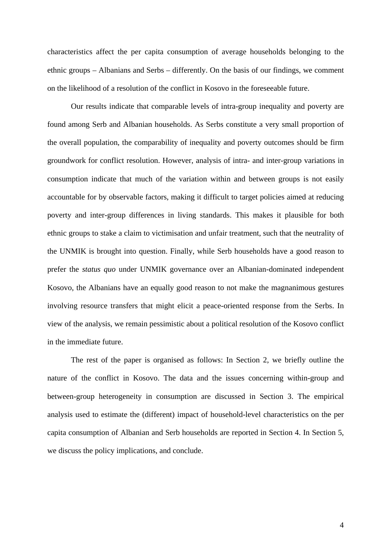characteristics affect the per capita consumption of average households belonging to the ethnic groups – Albanians and Serbs – differently. On the basis of our findings, we comment on the likelihood of a resolution of the conflict in Kosovo in the foreseeable future.

Our results indicate that comparable levels of intra-group inequality and poverty are found among Serb and Albanian households. As Serbs constitute a very small proportion of the overall population, the comparability of inequality and poverty outcomes should be firm groundwork for conflict resolution. However, analysis of intra- and inter-group variations in consumption indicate that much of the variation within and between groups is not easily accountable for by observable factors, making it difficult to target policies aimed at reducing poverty and inter-group differences in living standards. This makes it plausible for both ethnic groups to stake a claim to victimisation and unfair treatment, such that the neutrality of the UNMIK is brought into question. Finally, while Serb households have a good reason to prefer the *status quo* under UNMIK governance over an Albanian-dominated independent Kosovo, the Albanians have an equally good reason to not make the magnanimous gestures involving resource transfers that might elicit a peace-oriented response from the Serbs. In view of the analysis, we remain pessimistic about a political resolution of the Kosovo conflict in the immediate future.

The rest of the paper is organised as follows: In Section 2, we briefly outline the nature of the conflict in Kosovo. The data and the issues concerning within-group and between-group heterogeneity in consumption are discussed in Section 3. The empirical analysis used to estimate the (different) impact of household-level characteristics on the per capita consumption of Albanian and Serb households are reported in Section 4. In Section 5, we discuss the policy implications, and conclude.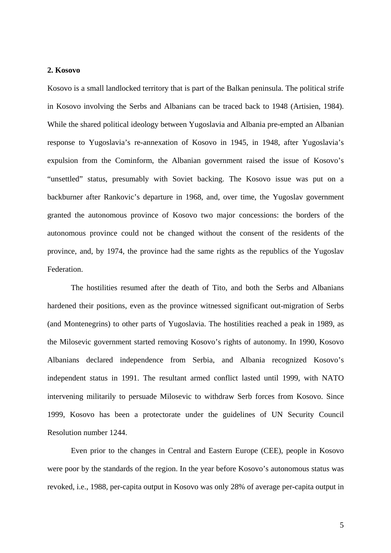#### **2. Kosovo**

Kosovo is a small landlocked territory that is part of the Balkan peninsula. The political strife in Kosovo involving the Serbs and Albanians can be traced back to 1948 (Artisien, 1984). While the shared political ideology between Yugoslavia and Albania pre-empted an Albanian response to Yugoslavia's re-annexation of Kosovo in 1945, in 1948, after Yugoslavia's expulsion from the Cominform, the Albanian government raised the issue of Kosovo's "unsettled" status, presumably with Soviet backing. The Kosovo issue was put on a backburner after Rankovic's departure in 1968, and, over time, the Yugoslav government granted the autonomous province of Kosovo two major concessions: the borders of the autonomous province could not be changed without the consent of the residents of the province, and, by 1974, the province had the same rights as the republics of the Yugoslav Federation.

The hostilities resumed after the death of Tito, and both the Serbs and Albanians hardened their positions, even as the province witnessed significant out-migration of Serbs (and Montenegrins) to other parts of Yugoslavia. The hostilities reached a peak in 1989, as the Milosevic government started removing Kosovo's rights of autonomy. In 1990, Kosovo Albanians declared independence from Serbia, and Albania recognized Kosovo's independent status in 1991. The resultant armed conflict lasted until 1999, with NATO intervening militarily to persuade Milosevic to withdraw Serb forces from Kosovo. Since 1999, Kosovo has been a protectorate under the guidelines of UN Security Council Resolution number 1244.

Even prior to the changes in Central and Eastern Europe (CEE), people in Kosovo were poor by the standards of the region. In the year before Kosovo's autonomous status was revoked, i.e., 1988, per-capita output in Kosovo was only 28% of average per-capita output in

5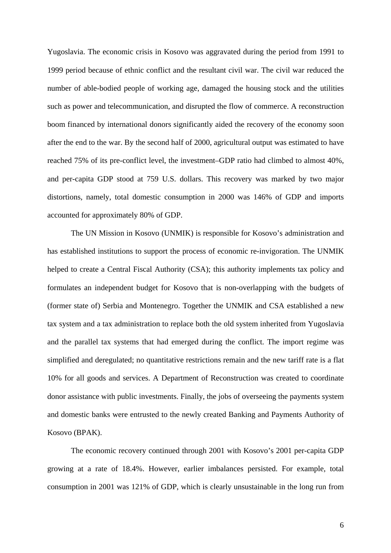Yugoslavia. The economic crisis in Kosovo was aggravated during the period from 1991 to 1999 period because of ethnic conflict and the resultant civil war. The civil war reduced the number of able-bodied people of working age, damaged the housing stock and the utilities such as power and telecommunication, and disrupted the flow of commerce. A reconstruction boom financed by international donors significantly aided the recovery of the economy soon after the end to the war. By the second half of 2000, agricultural output was estimated to have reached 75% of its pre-conflict level, the investment–GDP ratio had climbed to almost 40%, and per-capita GDP stood at 759 U.S. dollars. This recovery was marked by two major distortions, namely, total domestic consumption in 2000 was 146% of GDP and imports accounted for approximately 80% of GDP.

The UN Mission in Kosovo (UNMIK) is responsible for Kosovo's administration and has established institutions to support the process of economic re-invigoration. The UNMIK helped to create a Central Fiscal Authority (CSA); this authority implements tax policy and formulates an independent budget for Kosovo that is non-overlapping with the budgets of (former state of) Serbia and Montenegro. Together the UNMIK and CSA established a new tax system and a tax administration to replace both the old system inherited from Yugoslavia and the parallel tax systems that had emerged during the conflict. The import regime was simplified and deregulated; no quantitative restrictions remain and the new tariff rate is a flat 10% for all goods and services. A Department of Reconstruction was created to coordinate donor assistance with public investments. Finally, the jobs of overseeing the payments system and domestic banks were entrusted to the newly created Banking and Payments Authority of Kosovo (BPAK).

The economic recovery continued through 2001 with Kosovo's 2001 per-capita GDP growing at a rate of 18.4%. However, earlier imbalances persisted. For example, total consumption in 2001 was 121% of GDP, which is clearly unsustainable in the long run from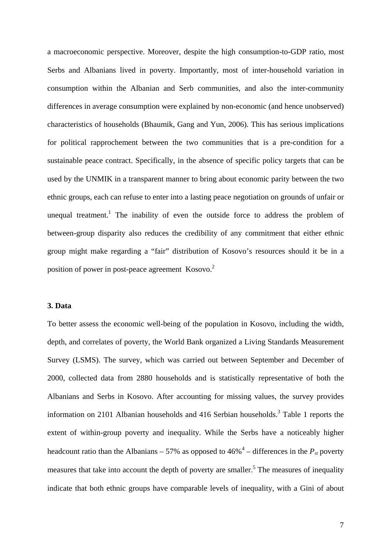a macroeconomic perspective. Moreover, despite the high consumption-to-GDP ratio, most Serbs and Albanians lived in poverty. Importantly, most of inter-household variation in consumption within the Albanian and Serb communities, and also the inter-community differences in average consumption were explained by non-economic (and hence unobserved) characteristics of households (Bhaumik, Gang and Yun, 2006). This has serious implications for political rapprochement between the two communities that is a pre-condition for a sustainable peace contract. Specifically, in the absence of specific policy targets that can be used by the UNMIK in a transparent manner to bring about economic parity between the two ethnic groups, each can refuse to enter into a lasting peace negotiation on grounds of unfair or unequal treatment.<sup>1</sup> The inability of even the outside force to address the problem of between-group disparity also reduces the credibility of any commitment that either ethnic group might make regarding a "fair" distribution of Kosovo's resources should it be in a position of power in post-peace agreement Kosovo.<sup>2</sup>

#### **3. Data**

To better assess the economic well-being of the population in Kosovo, including the width, depth, and correlates of poverty, the World Bank organized a Living Standards Measurement Survey (LSMS). The survey, which was carried out between September and December of 2000, collected data from 2880 households and is statistically representative of both the Albanians and Serbs in Kosovo. After accounting for missing values, the survey provides information on 2101 Albanian households and 416 Serbian households.<sup>3</sup> Table 1 reports the extent of within-group poverty and inequality. While the Serbs have a noticeably higher headcount ratio than the Albanians – 57% as opposed to  $46\%$ <sup>4</sup> – differences in the  $P_\alpha$  poverty measures that take into account the depth of poverty are smaller.<sup>5</sup> The measures of inequality indicate that both ethnic groups have comparable levels of inequality, with a Gini of about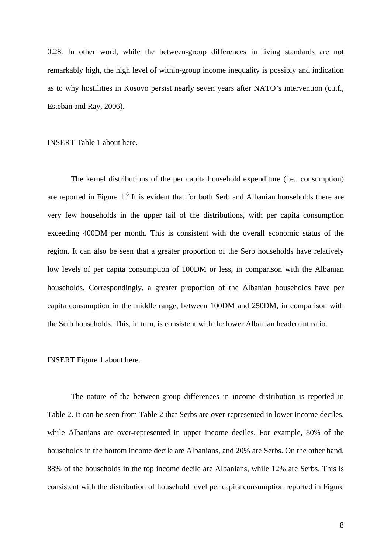0.28. In other word, while the between-group differences in living standards are not remarkably high, the high level of within-group income inequality is possibly and indication as to why hostilities in Kosovo persist nearly seven years after NATO's intervention (c.i.f., Esteban and Ray, 2006).

INSERT Table 1 about here.

The kernel distributions of the per capita household expenditure (i.e., consumption) are reported in Figure  $1<sup>6</sup>$  It is evident that for both Serb and Albanian households there are very few households in the upper tail of the distributions, with per capita consumption exceeding 400DM per month. This is consistent with the overall economic status of the region. It can also be seen that a greater proportion of the Serb households have relatively low levels of per capita consumption of 100DM or less, in comparison with the Albanian households. Correspondingly, a greater proportion of the Albanian households have per capita consumption in the middle range, between 100DM and 250DM, in comparison with the Serb households. This, in turn, is consistent with the lower Albanian headcount ratio.

#### INSERT Figure 1 about here.

The nature of the between-group differences in income distribution is reported in Table 2. It can be seen from Table 2 that Serbs are over-represented in lower income deciles, while Albanians are over-represented in upper income deciles. For example, 80% of the households in the bottom income decile are Albanians, and 20% are Serbs. On the other hand, 88% of the households in the top income decile are Albanians, while 12% are Serbs. This is consistent with the distribution of household level per capita consumption reported in Figure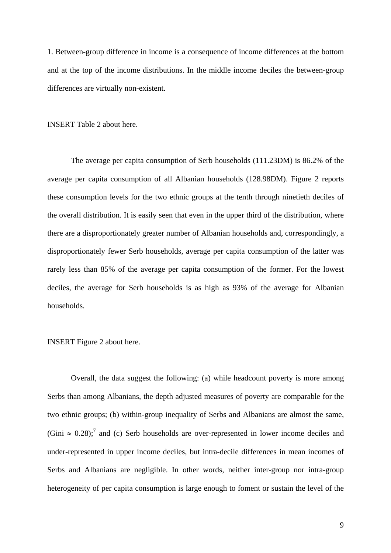1. Between-group difference in income is a consequence of income differences at the bottom and at the top of the income distributions. In the middle income deciles the between-group differences are virtually non-existent.

INSERT Table 2 about here.

The average per capita consumption of Serb households (111.23DM) is 86.2% of the average per capita consumption of all Albanian households (128.98DM). Figure 2 reports these consumption levels for the two ethnic groups at the tenth through ninetieth deciles of the overall distribution. It is easily seen that even in the upper third of the distribution, where there are a disproportionately greater number of Albanian households and, correspondingly, a disproportionately fewer Serb households, average per capita consumption of the latter was rarely less than 85% of the average per capita consumption of the former. For the lowest deciles, the average for Serb households is as high as 93% of the average for Albanian households.

#### INSERT Figure 2 about here.

Overall, the data suggest the following: (a) while headcount poverty is more among Serbs than among Albanians, the depth adjusted measures of poverty are comparable for the two ethnic groups; (b) within-group inequality of Serbs and Albanians are almost the same, (Gini  $\approx 0.28$ );<sup>7</sup> and (c) Serb households are over-represented in lower income deciles and under-represented in upper income deciles, but intra-decile differences in mean incomes of Serbs and Albanians are negligible. In other words, neither inter-group nor intra-group heterogeneity of per capita consumption is large enough to foment or sustain the level of the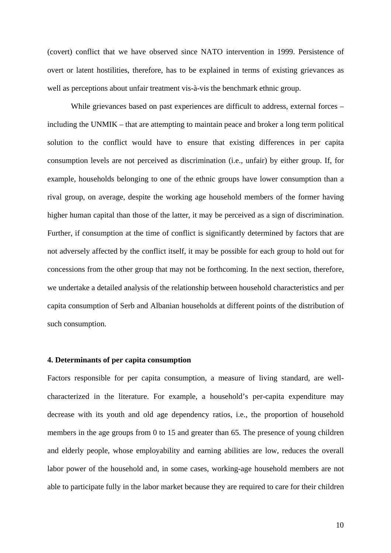(covert) conflict that we have observed since NATO intervention in 1999. Persistence of overt or latent hostilities, therefore, has to be explained in terms of existing grievances as well as perceptions about unfair treatment vis-à-vis the benchmark ethnic group.

While grievances based on past experiences are difficult to address, external forces – including the UNMIK – that are attempting to maintain peace and broker a long term political solution to the conflict would have to ensure that existing differences in per capita consumption levels are not perceived as discrimination (i.e., unfair) by either group. If, for example, households belonging to one of the ethnic groups have lower consumption than a rival group, on average, despite the working age household members of the former having higher human capital than those of the latter, it may be perceived as a sign of discrimination. Further, if consumption at the time of conflict is significantly determined by factors that are not adversely affected by the conflict itself, it may be possible for each group to hold out for concessions from the other group that may not be forthcoming. In the next section, therefore, we undertake a detailed analysis of the relationship between household characteristics and per capita consumption of Serb and Albanian households at different points of the distribution of such consumption.

#### **4. Determinants of per capita consumption**

Factors responsible for per capita consumption, a measure of living standard, are wellcharacterized in the literature. For example, a household's per-capita expenditure may decrease with its youth and old age dependency ratios, i.e., the proportion of household members in the age groups from 0 to 15 and greater than 65. The presence of young children and elderly people, whose employability and earning abilities are low, reduces the overall labor power of the household and, in some cases, working-age household members are not able to participate fully in the labor market because they are required to care for their children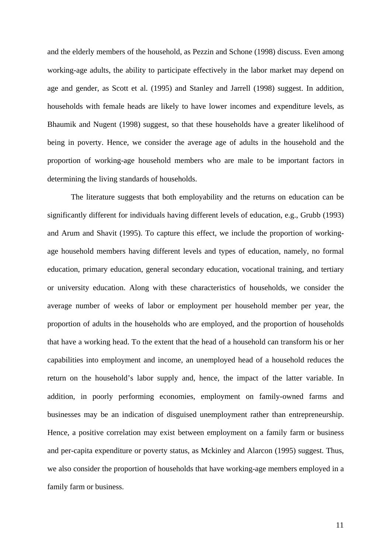and the elderly members of the household, as Pezzin and Schone (1998) discuss. Even among working-age adults, the ability to participate effectively in the labor market may depend on age and gender, as Scott et al. (1995) and Stanley and Jarrell (1998) suggest. In addition, households with female heads are likely to have lower incomes and expenditure levels, as Bhaumik and Nugent (1998) suggest, so that these households have a greater likelihood of being in poverty. Hence, we consider the average age of adults in the household and the proportion of working-age household members who are male to be important factors in determining the living standards of households.

The literature suggests that both employability and the returns on education can be significantly different for individuals having different levels of education, e.g., Grubb (1993) and Arum and Shavit (1995). To capture this effect, we include the proportion of workingage household members having different levels and types of education, namely, no formal education, primary education, general secondary education, vocational training, and tertiary or university education. Along with these characteristics of households, we consider the average number of weeks of labor or employment per household member per year, the proportion of adults in the households who are employed, and the proportion of households that have a working head. To the extent that the head of a household can transform his or her capabilities into employment and income, an unemployed head of a household reduces the return on the household's labor supply and, hence, the impact of the latter variable. In addition, in poorly performing economies, employment on family-owned farms and businesses may be an indication of disguised unemployment rather than entrepreneurship. Hence, a positive correlation may exist between employment on a family farm or business and per-capita expenditure or poverty status, as Mckinley and Alarcon (1995) suggest. Thus, we also consider the proportion of households that have working-age members employed in a family farm or business.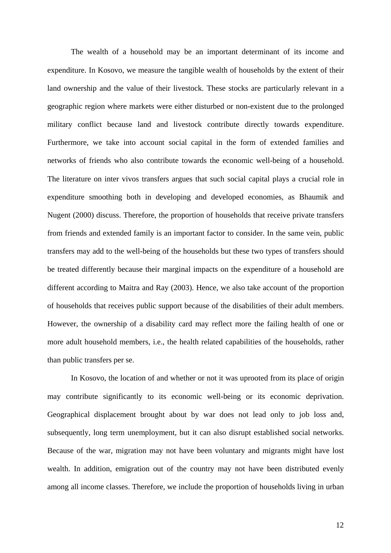The wealth of a household may be an important determinant of its income and expenditure. In Kosovo, we measure the tangible wealth of households by the extent of their land ownership and the value of their livestock. These stocks are particularly relevant in a geographic region where markets were either disturbed or non-existent due to the prolonged military conflict because land and livestock contribute directly towards expenditure. Furthermore, we take into account social capital in the form of extended families and networks of friends who also contribute towards the economic well-being of a household. The literature on inter vivos transfers argues that such social capital plays a crucial role in expenditure smoothing both in developing and developed economies, as Bhaumik and Nugent (2000) discuss. Therefore, the proportion of households that receive private transfers from friends and extended family is an important factor to consider. In the same vein, public transfers may add to the well-being of the households but these two types of transfers should be treated differently because their marginal impacts on the expenditure of a household are different according to Maitra and Ray (2003). Hence, we also take account of the proportion of households that receives public support because of the disabilities of their adult members. However, the ownership of a disability card may reflect more the failing health of one or more adult household members, i.e., the health related capabilities of the households, rather than public transfers per se.

In Kosovo, the location of and whether or not it was uprooted from its place of origin may contribute significantly to its economic well-being or its economic deprivation. Geographical displacement brought about by war does not lead only to job loss and, subsequently, long term unemployment, but it can also disrupt established social networks. Because of the war, migration may not have been voluntary and migrants might have lost wealth. In addition, emigration out of the country may not have been distributed evenly among all income classes. Therefore, we include the proportion of households living in urban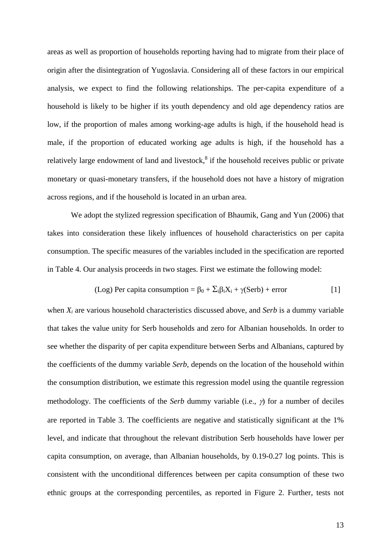areas as well as proportion of households reporting having had to migrate from their place of origin after the disintegration of Yugoslavia. Considering all of these factors in our empirical analysis, we expect to find the following relationships. The per-capita expenditure of a household is likely to be higher if its youth dependency and old age dependency ratios are low, if the proportion of males among working-age adults is high, if the household head is male, if the proportion of educated working age adults is high, if the household has a relatively large endowment of land and livestock,<sup>8</sup> if the household receives public or private monetary or quasi-monetary transfers, if the household does not have a history of migration across regions, and if the household is located in an urban area.

We adopt the stylized regression specification of Bhaumik, Gang and Yun (2006) that takes into consideration these likely influences of household characteristics on per capita consumption. The specific measures of the variables included in the specification are reported in Table 4. Our analysis proceeds in two stages. First we estimate the following model:

$$
(Log) Per capita consumption = \beta_0 + \sum_i \beta_i X_i + \gamma (Serb) + error
$$
 [1]

when *Xi* are various household characteristics discussed above, and *Serb* is a dummy variable that takes the value unity for Serb households and zero for Albanian households. In order to see whether the disparity of per capita expenditure between Serbs and Albanians, captured by the coefficients of the dummy variable *Serb*, depends on the location of the household within the consumption distribution, we estimate this regression model using the quantile regression methodology. The coefficients of the *Serb* dummy variable (i.e., γ) for a number of deciles are reported in Table 3. The coefficients are negative and statistically significant at the 1% level, and indicate that throughout the relevant distribution Serb households have lower per capita consumption, on average, than Albanian households, by 0.19-0.27 log points. This is consistent with the unconditional differences between per capita consumption of these two ethnic groups at the corresponding percentiles, as reported in Figure 2. Further, tests not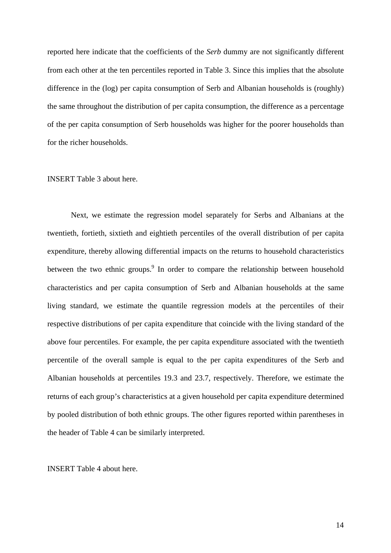reported here indicate that the coefficients of the *Serb* dummy are not significantly different from each other at the ten percentiles reported in Table 3. Since this implies that the absolute difference in the (log) per capita consumption of Serb and Albanian households is (roughly) the same throughout the distribution of per capita consumption, the difference as a percentage of the per capita consumption of Serb households was higher for the poorer households than for the richer households.

#### INSERT Table 3 about here.

Next, we estimate the regression model separately for Serbs and Albanians at the twentieth, fortieth, sixtieth and eightieth percentiles of the overall distribution of per capita expenditure, thereby allowing differential impacts on the returns to household characteristics between the two ethnic groups.<sup>9</sup> In order to compare the relationship between household characteristics and per capita consumption of Serb and Albanian households at the same living standard, we estimate the quantile regression models at the percentiles of their respective distributions of per capita expenditure that coincide with the living standard of the above four percentiles. For example, the per capita expenditure associated with the twentieth percentile of the overall sample is equal to the per capita expenditures of the Serb and Albanian households at percentiles 19.3 and 23.7, respectively. Therefore, we estimate the returns of each group's characteristics at a given household per capita expenditure determined by pooled distribution of both ethnic groups. The other figures reported within parentheses in the header of Table 4 can be similarly interpreted.

INSERT Table 4 about here.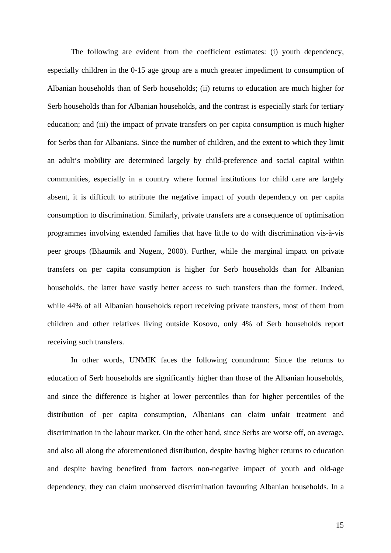The following are evident from the coefficient estimates: (i) youth dependency, especially children in the 0-15 age group are a much greater impediment to consumption of Albanian households than of Serb households; (ii) returns to education are much higher for Serb households than for Albanian households, and the contrast is especially stark for tertiary education; and (iii) the impact of private transfers on per capita consumption is much higher for Serbs than for Albanians. Since the number of children, and the extent to which they limit an adult's mobility are determined largely by child-preference and social capital within communities, especially in a country where formal institutions for child care are largely absent, it is difficult to attribute the negative impact of youth dependency on per capita consumption to discrimination. Similarly, private transfers are a consequence of optimisation programmes involving extended families that have little to do with discrimination vis-à-vis peer groups (Bhaumik and Nugent, 2000). Further, while the marginal impact on private transfers on per capita consumption is higher for Serb households than for Albanian households, the latter have vastly better access to such transfers than the former. Indeed, while 44% of all Albanian households report receiving private transfers, most of them from children and other relatives living outside Kosovo, only 4% of Serb households report receiving such transfers.

In other words, UNMIK faces the following conundrum: Since the returns to education of Serb households are significantly higher than those of the Albanian households, and since the difference is higher at lower percentiles than for higher percentiles of the distribution of per capita consumption, Albanians can claim unfair treatment and discrimination in the labour market. On the other hand, since Serbs are worse off, on average, and also all along the aforementioned distribution, despite having higher returns to education and despite having benefited from factors non-negative impact of youth and old-age dependency, they can claim unobserved discrimination favouring Albanian households. In a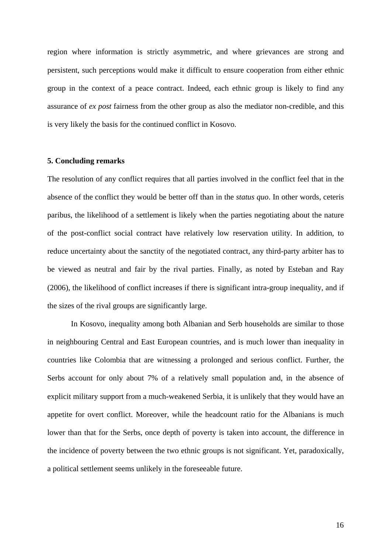region where information is strictly asymmetric, and where grievances are strong and persistent, such perceptions would make it difficult to ensure cooperation from either ethnic group in the context of a peace contract. Indeed, each ethnic group is likely to find any assurance of *ex post* fairness from the other group as also the mediator non-credible, and this is very likely the basis for the continued conflict in Kosovo.

#### **5. Concluding remarks**

The resolution of any conflict requires that all parties involved in the conflict feel that in the absence of the conflict they would be better off than in the *status quo*. In other words, ceteris paribus, the likelihood of a settlement is likely when the parties negotiating about the nature of the post-conflict social contract have relatively low reservation utility. In addition, to reduce uncertainty about the sanctity of the negotiated contract, any third-party arbiter has to be viewed as neutral and fair by the rival parties. Finally, as noted by Esteban and Ray (2006), the likelihood of conflict increases if there is significant intra-group inequality, and if the sizes of the rival groups are significantly large.

In Kosovo, inequality among both Albanian and Serb households are similar to those in neighbouring Central and East European countries, and is much lower than inequality in countries like Colombia that are witnessing a prolonged and serious conflict. Further, the Serbs account for only about 7% of a relatively small population and, in the absence of explicit military support from a much-weakened Serbia, it is unlikely that they would have an appetite for overt conflict. Moreover, while the headcount ratio for the Albanians is much lower than that for the Serbs, once depth of poverty is taken into account, the difference in the incidence of poverty between the two ethnic groups is not significant. Yet, paradoxically, a political settlement seems unlikely in the foreseeable future.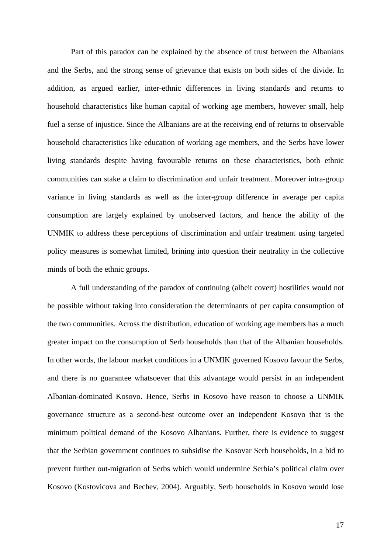Part of this paradox can be explained by the absence of trust between the Albanians and the Serbs, and the strong sense of grievance that exists on both sides of the divide. In addition, as argued earlier, inter-ethnic differences in living standards and returns to household characteristics like human capital of working age members, however small, help fuel a sense of injustice. Since the Albanians are at the receiving end of returns to observable household characteristics like education of working age members, and the Serbs have lower living standards despite having favourable returns on these characteristics, both ethnic communities can stake a claim to discrimination and unfair treatment. Moreover intra-group variance in living standards as well as the inter-group difference in average per capita consumption are largely explained by unobserved factors, and hence the ability of the UNMIK to address these perceptions of discrimination and unfair treatment using targeted policy measures is somewhat limited, brining into question their neutrality in the collective minds of both the ethnic groups.

A full understanding of the paradox of continuing (albeit covert) hostilities would not be possible without taking into consideration the determinants of per capita consumption of the two communities. Across the distribution, education of working age members has a much greater impact on the consumption of Serb households than that of the Albanian households. In other words, the labour market conditions in a UNMIK governed Kosovo favour the Serbs, and there is no guarantee whatsoever that this advantage would persist in an independent Albanian-dominated Kosovo. Hence, Serbs in Kosovo have reason to choose a UNMIK governance structure as a second-best outcome over an independent Kosovo that is the minimum political demand of the Kosovo Albanians. Further, there is evidence to suggest that the Serbian government continues to subsidise the Kosovar Serb households, in a bid to prevent further out-migration of Serbs which would undermine Serbia's political claim over Kosovo (Kostovicova and Bechev, 2004). Arguably, Serb households in Kosovo would lose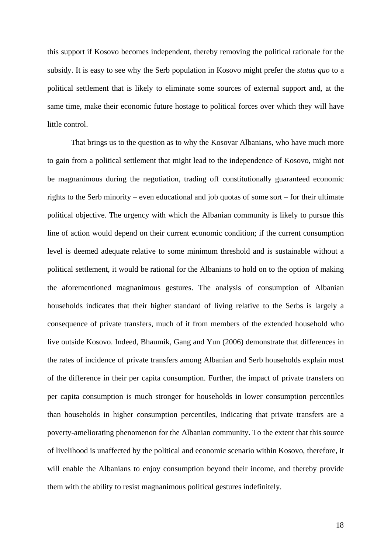this support if Kosovo becomes independent, thereby removing the political rationale for the subsidy. It is easy to see why the Serb population in Kosovo might prefer the *status quo* to a political settlement that is likely to eliminate some sources of external support and, at the same time, make their economic future hostage to political forces over which they will have little control.

That brings us to the question as to why the Kosovar Albanians, who have much more to gain from a political settlement that might lead to the independence of Kosovo, might not be magnanimous during the negotiation, trading off constitutionally guaranteed economic rights to the Serb minority – even educational and job quotas of some sort – for their ultimate political objective. The urgency with which the Albanian community is likely to pursue this line of action would depend on their current economic condition; if the current consumption level is deemed adequate relative to some minimum threshold and is sustainable without a political settlement, it would be rational for the Albanians to hold on to the option of making the aforementioned magnanimous gestures. The analysis of consumption of Albanian households indicates that their higher standard of living relative to the Serbs is largely a consequence of private transfers, much of it from members of the extended household who live outside Kosovo. Indeed, Bhaumik, Gang and Yun (2006) demonstrate that differences in the rates of incidence of private transfers among Albanian and Serb households explain most of the difference in their per capita consumption. Further, the impact of private transfers on per capita consumption is much stronger for households in lower consumption percentiles than households in higher consumption percentiles, indicating that private transfers are a poverty-ameliorating phenomenon for the Albanian community. To the extent that this source of livelihood is unaffected by the political and economic scenario within Kosovo, therefore, it will enable the Albanians to enjoy consumption beyond their income, and thereby provide them with the ability to resist magnanimous political gestures indefinitely.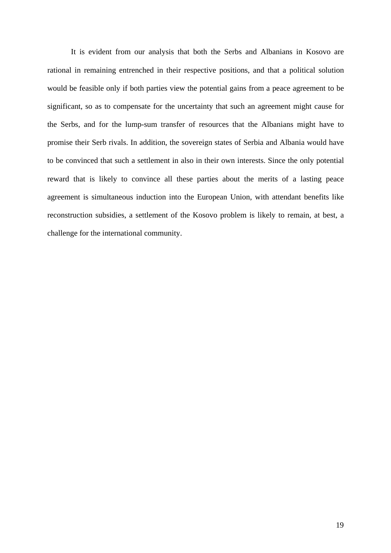It is evident from our analysis that both the Serbs and Albanians in Kosovo are rational in remaining entrenched in their respective positions, and that a political solution would be feasible only if both parties view the potential gains from a peace agreement to be significant, so as to compensate for the uncertainty that such an agreement might cause for the Serbs, and for the lump-sum transfer of resources that the Albanians might have to promise their Serb rivals. In addition, the sovereign states of Serbia and Albania would have to be convinced that such a settlement in also in their own interests. Since the only potential reward that is likely to convince all these parties about the merits of a lasting peace agreement is simultaneous induction into the European Union, with attendant benefits like reconstruction subsidies, a settlement of the Kosovo problem is likely to remain, at best, a challenge for the international community.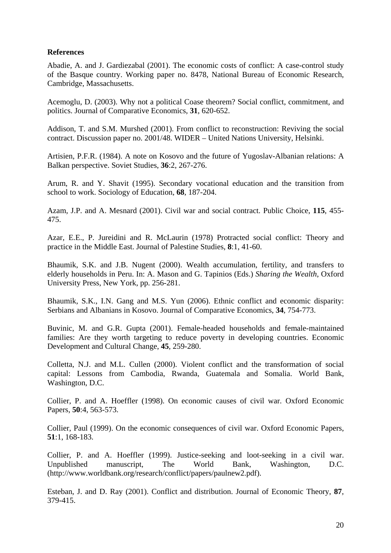### **References**

Abadie, A. and J. Gardiezabal (2001). The economic costs of conflict: A case-control study of the Basque country. Working paper no. 8478, National Bureau of Economic Research, Cambridge, Massachusetts.

Acemoglu, D. (2003). Why not a political Coase theorem? Social conflict, commitment, and politics. Journal of Comparative Economics, **31**, 620-652.

Addison, T. and S.M. Murshed (2001). From conflict to reconstruction: Reviving the social contract. Discussion paper no. 2001/48. WIDER – United Nations University, Helsinki.

Artisien, P.F.R. (1984). A note on Kosovo and the future of Yugoslav-Albanian relations: A Balkan perspective. Soviet Studies, **36**:2, 267-276.

Arum, R. and Y. Shavit (1995). Secondary vocational education and the transition from school to work. Sociology of Education, **68**, 187-204.

Azam, J.P. and A. Mesnard (2001). Civil war and social contract. Public Choice, **115**, 455- 475.

Azar, E.E., P. Jureidini and R. McLaurin (1978) Protracted social conflict: Theory and practice in the Middle East. Journal of Palestine Studies, **8**:1, 41-60.

Bhaumik, S.K. and J.B. Nugent (2000). Wealth accumulation, fertility, and transfers to elderly households in Peru. In: A. Mason and G. Tapinios (Eds.) *Sharing the Wealth*, Oxford University Press, New York, pp. 256-281.

Bhaumik, S.K., I.N. Gang and M.S. Yun (2006). Ethnic conflict and economic disparity: Serbians and Albanians in Kosovo. Journal of Comparative Economics, **34**, 754-773.

Buvinic, M. and G.R. Gupta (2001). Female-headed households and female-maintained families: Are they worth targeting to reduce poverty in developing countries. Economic Development and Cultural Change, **45**, 259-280.

Colletta, N.J. and M.L. Cullen (2000). Violent conflict and the transformation of social capital: Lessons from Cambodia, Rwanda, Guatemala and Somalia. World Bank, Washington, D.C.

Collier, P. and A. Hoeffler (1998). On economic causes of civil war. Oxford Economic Papers, **50**:4, 563-573.

Collier, Paul (1999). On the economic consequences of civil war. Oxford Economic Papers, **51**:1, 168-183.

Collier, P. and A. Hoeffler (1999). Justice-seeking and loot-seeking in a civil war. Unpublished manuscript, The World Bank, Washington, D.C. (http://www.worldbank.org/research/conflict/papers/paulnew2.pdf).

Esteban, J. and D. Ray (2001). Conflict and distribution. Journal of Economic Theory, **87**, 379-415.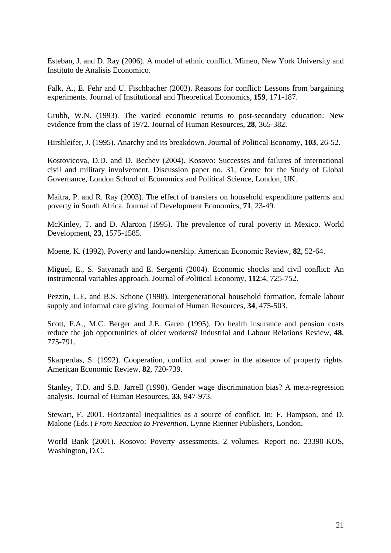Esteban, J. and D. Ray (2006). A model of ethnic conflict. Mimeo, New York University and Instituto de Analisis Economico.

Falk, A., E. Fehr and U. Fischbacher (2003). Reasons for conflict: Lessons from bargaining experiments. Journal of Institutional and Theoretical Economics, **159**, 171-187.

Grubb, W.N. (1993). The varied economic returns to post-secondary education: New evidence from the class of 1972. Journal of Human Resources, **28**, 365-382.

Hirshleifer, J. (1995). Anarchy and its breakdown. Journal of Political Economy, **103**, 26-52.

Kostovicova, D.D. and D. Bechev (2004). Kosovo: Successes and failures of international civil and military involvement. Discussion paper no. 31, Centre for the Study of Global Governance, London School of Economics and Political Science, London, UK.

Maitra, P. and R. Ray (2003). The effect of transfers on household expenditure patterns and poverty in South Africa. Journal of Development Economics, **71**, 23-49.

McKinley, T. and D. Alarcon (1995). The prevalence of rural poverty in Mexico. World Development, **23**, 1575-1585.

Moene, K. (1992). Poverty and landownership. American Economic Review, **82**, 52-64.

Miguel, E., S. Satyanath and E. Sergenti (2004). Economic shocks and civil conflict: An instrumental variables approach. Journal of Political Economy, **112**:4, 725-752.

Pezzin, L.E. and B.S. Schone (1998). Intergenerational household formation, female labour supply and informal care giving. Journal of Human Resources, **34**, 475-503.

Scott, F.A., M.C. Berger and J.E. Garen (1995). Do health insurance and pension costs reduce the job opportunities of older workers? Industrial and Labour Relations Review, **48**, 775-791.

Skarperdas, S. (1992). Cooperation, conflict and power in the absence of property rights. American Economic Review, **82**, 720-739.

Stanley, T.D. and S.B. Jarrell (1998). Gender wage discrimination bias? A meta-regression analysis. Journal of Human Resources, **33**, 947-973.

Stewart, F. 2001. Horizontal inequalities as a source of conflict. In: F. Hampson, and D. Malone (Eds.) *From Reaction to Prevention*. Lynne Rienner Publishers, London.

World Bank (2001). Kosovo: Poverty assessments, 2 volumes. Report no. 23390-KOS, Washington, D.C.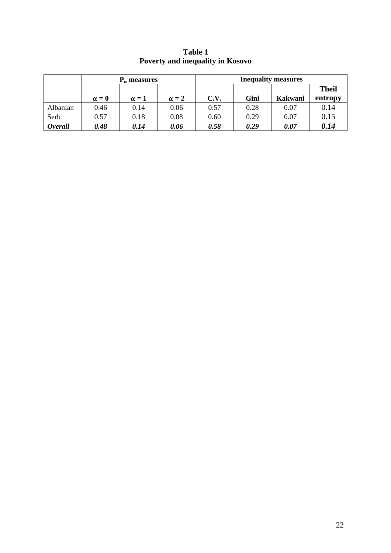|                |              | $P_{\alpha}$ measures |              | <b>Inequality measures</b> |      |         |              |  |  |
|----------------|--------------|-----------------------|--------------|----------------------------|------|---------|--------------|--|--|
|                |              |                       |              |                            |      |         | <b>Theil</b> |  |  |
|                | $\alpha = 0$ | $\alpha = 1$          | $\alpha = 2$ | C.V.                       | Gini | Kakwani | entropy      |  |  |
| Albanian       | 0.46         | 0.14                  | 0.06         | 0.57                       | 0.28 | 0.07    | 0.14         |  |  |
| Serb           | 0.57         | 0.18                  | 0.08         | 0.60                       | 0.29 | 0.07    | 0.15         |  |  |
| <b>Overall</b> | 0.48         | 0.14                  | 0.06         | 0.58                       | 0.29 | 0.07    | 0.14         |  |  |

**Table 1 Poverty and inequality in Kosovo**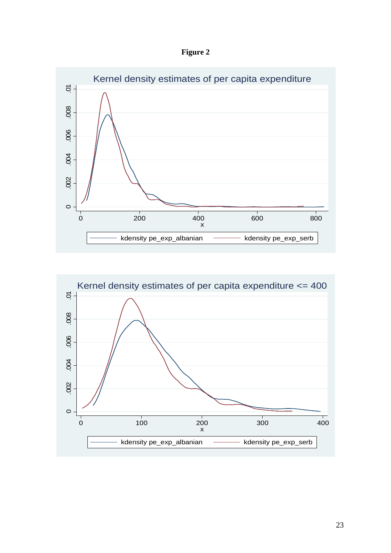



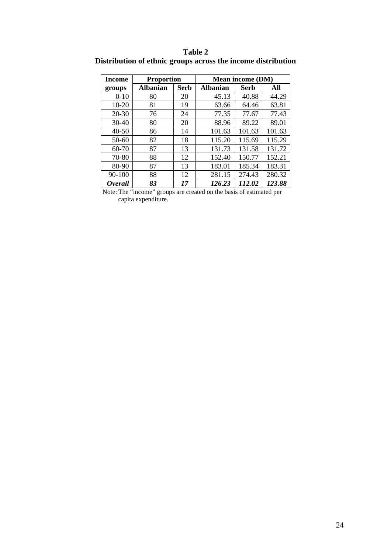| Income                | <b>Proportion</b> |             | <b>Mean income (DM)</b> |             |        |  |  |
|-----------------------|-------------------|-------------|-------------------------|-------------|--------|--|--|
| groups                | <b>Albanian</b>   | <b>Serb</b> |                         | <b>Serb</b> | All    |  |  |
| $0-10$                | 80                | 20          | 45.13                   | 40.88       | 44.29  |  |  |
| $10 - 20$             | 81                | 19          | 63.66                   | 64.46       | 63.81  |  |  |
| $20 - 30$             | 76                | 24          | 77.35                   | 77.67       | 77.43  |  |  |
| $30-40$               | 80                | 20          | 88.96                   | 89.22       | 89.01  |  |  |
| $40 - 50$             | 86                | 14          | 101.63                  | 101.63      | 101.63 |  |  |
| 50-60                 | 82                | 18          | 115.20                  | 115.69      | 115.29 |  |  |
| $60 - 70$             | 87                | 13          | 131.73                  | 131.58      | 131.72 |  |  |
| 70-80                 | 88                | 12          | 152.40                  | 150.77      | 152.21 |  |  |
| 80-90                 | 87                | 13          | 183.01                  | 185.34      | 183.31 |  |  |
| 90-100                | 88                | 12          | 281.15                  | 274.43      | 280.32 |  |  |
| <i><b>Overall</b></i> | 83                | 17          | 126.23                  | 112.02      | 123.88 |  |  |

**Table 2 Distribution of ethnic groups across the income distribution**

 Note: The "income" groups are created on the basis of estimated per capita expenditure.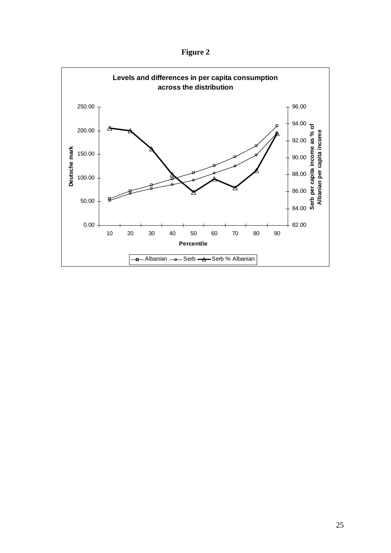**Figure 2**

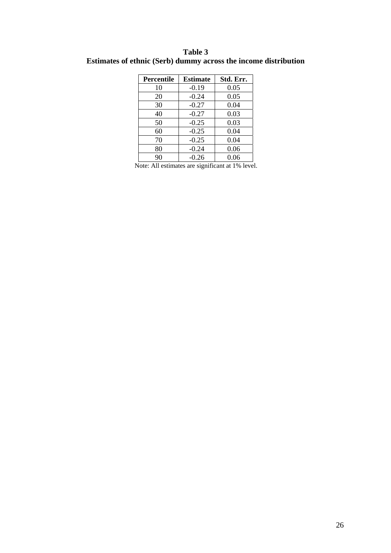| Table 3                                                         |  |  |  |  |  |  |  |  |
|-----------------------------------------------------------------|--|--|--|--|--|--|--|--|
| Estimates of ethnic (Serb) dummy across the income distribution |  |  |  |  |  |  |  |  |

| Percentile | <b>Estimate</b> | Std. Err. |  |  |  |
|------------|-----------------|-----------|--|--|--|
| 10         | $-0.19$         | 0.05      |  |  |  |
| 20         | $-0.24$         | 0.05      |  |  |  |
| 30         | $-0.27$         | 0.04      |  |  |  |
| 40         | $-0.27$         | 0.03      |  |  |  |
| 50         | $-0.25$         | 0.03      |  |  |  |
| 60         | $-0.25$         | 0.04      |  |  |  |
| 70         | $-0.25$         | 0.04      |  |  |  |
| 80         | $-0.24$         | 0.06      |  |  |  |
| 90         | $-0.26$         | 0.06      |  |  |  |

Note: All estimates are significant at 1% level.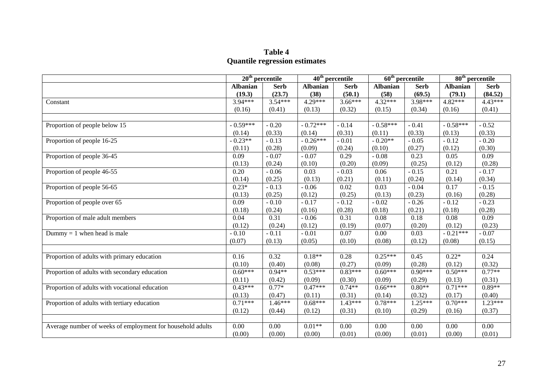#### **Table 4 Quantile regression estimates**

|                                                            | $20th$ percentile |             | $40th$ percentile |             | $\overline{60^{th}}$ percentile |             | $80th$ percentile |             |
|------------------------------------------------------------|-------------------|-------------|-------------------|-------------|---------------------------------|-------------|-------------------|-------------|
|                                                            | <b>Albanian</b>   | <b>Serb</b> | <b>Albanian</b>   | <b>Serb</b> | <b>Albanian</b>                 | <b>Serb</b> | <b>Albanian</b>   | <b>Serb</b> |
|                                                            | (19.3)            | (23.7)      | (38)              | (50.1)      | (58)                            | (69.5)      | (79.1)            | (84.52)     |
| Constant                                                   | 3.94***           | $3.54***$   | $4.29***$         | $3.66***$   | $4.32***$                       | 3.98***     | 4.82***           | $4.43***$   |
|                                                            | (0.16)            | (0.41)      | (0.13)            | (0.32)      | (0.15)                          | (0.34)      | (0.16)            | (0.41)      |
|                                                            |                   |             |                   |             |                                 |             |                   |             |
| Proportion of people below 15                              | $-0.59***$        | $-0.20$     | $-0.72***$        | $-0.14$     | $-0.58***$                      | $-0.41$     | $-0.58***$        | $-0.52$     |
|                                                            | (0.14)            | (0.33)      | (0.14)            | (0.31)      | (0.11)                          | (0.33)      | (0.13)            | (0.33)      |
| Proportion of people 16-25                                 | $-0.23**$         | $-0.13$     | $-0.26***$        | $-0.01$     | $-0.20**$                       | $-0.05$     | $-0.12$           | $-0.20$     |
|                                                            | (0.11)            | (0.28)      | (0.09)            | (0.24)      | (0.10)                          | (0.27)      | (0.12)            | (0.30)      |
| Proportion of people 36-45                                 | 0.09              | $-0.07$     | $-0.07$           | 0.29        | $-0.08$                         | 0.23        | 0.05              | 0.09        |
|                                                            | (0.13)            | (0.24)      | (0.10)            | (0.20)      | (0.09)                          | (0.25)      | (0.12)            | (0.28)      |
| Proportion of people 46-55                                 | 0.20              | $-0.06$     | 0.03              | $-0.03$     | 0.06                            | $-0.15$     | 0.21              | $-0.17$     |
|                                                            | (0.14)            | (0.25)      | (0.13)            | (0.21)      | (0.11)                          | (0.24)      | (0.14)            | (0.34)      |
| Proportion of people 56-65                                 | $0.23*$           | $-0.13$     | $-0.06$           | 0.02        | 0.03                            | $-0.04$     | 0.17              | $-0.15$     |
|                                                            | (0.13)            | (0.25)      | (0.12)            | (0.25)      | (0.13)                          | (0.23)      | (0.16)            | (0.28)      |
| Proportion of people over 65                               | 0.09              | $-0.10$     | $-0.17$           | $-0.12$     | $-0.02$                         | $-0.26$     | $-0.12$           | $-0.23$     |
|                                                            | (0.18)            | (0.24)      | (0.16)            | (0.28)      | (0.18)                          | (0.21)      | (0.18)            | (0.28)      |
| Proportion of male adult members                           | 0.04              | 0.31        | $-0.06$           | 0.31        | 0.08                            | 0.18        | 0.08              | 0.09        |
|                                                            | (0.12)            | (0.24)      | (0.12)            | (0.19)      | (0.07)                          | (0.20)      | (0.12)            | (0.23)      |
| Dummy = 1 when head is male                                | $-0.10$           | $-0.11$     | $-0.01$           | 0.07        | 0.00                            | 0.03        | $-0.21***$        | $-0.07$     |
|                                                            | (0.07)            | (0.13)      | (0.05)            | (0.10)      | (0.08)                          | (0.12)      | (0.08)            | (0.15)      |
|                                                            |                   |             |                   |             |                                 |             |                   |             |
| Proportion of adults with primary education                | 0.16              | 0.32        | $0.18**$          | 0.28        | $0.25***$                       | 0.45        | $0.22*$           | 0.24        |
|                                                            | (0.10)            | (0.40)      | (0.08)            | (0.27)      | (0.09)                          | (0.28)      | (0.12)            | (0.32)      |
| Proportion of adults with secondary education              | $0.60***$         | $0.94**$    | $0.53***$         | $0.83***$   | $0.60***$                       | $0.90***$   | $0.50***$         | $0.77**$    |
|                                                            | (0.11)            | (0.42)      | (0.09)            | (0.30)      | (0.09)                          | (0.29)      | (0.13)            | (0.31)      |
| Proportion of adults with vocational education             | $0.43***$         | $0.77*$     | $0.47***$         | $0.74**$    | $0.66***$                       | $0.80**$    | $0.71***$         | $0.89**$    |
|                                                            | (0.13)            | (0.47)      | (0.11)            | (0.31)      | (0.14)                          | (0.32)      | (0.17)            | (0.40)      |
| Proportion of adults with tertiary education               | $0.71***$         | $1.46***$   | $0.68***$         | $1.43***$   | $0.78***$                       | $1.25***$   | $0.70***$         | $1.23***$   |
|                                                            | (0.12)            | (0.44)      | (0.12)            | (0.31)      | (0.10)                          | (0.29)      | (0.16)            | (0.37)      |
|                                                            |                   |             |                   |             |                                 |             |                   |             |
| Average number of weeks of employment for household adults | 0.00              | 0.00        | $0.01**$          | 0.00        | 0.00                            | 0.00        | 0.00              | $0.00\,$    |
|                                                            | (0.00)            | (0.00)      | (0.00)            | (0.01)      | (0.00)                          | (0.01)      | (0.00)            | (0.01)      |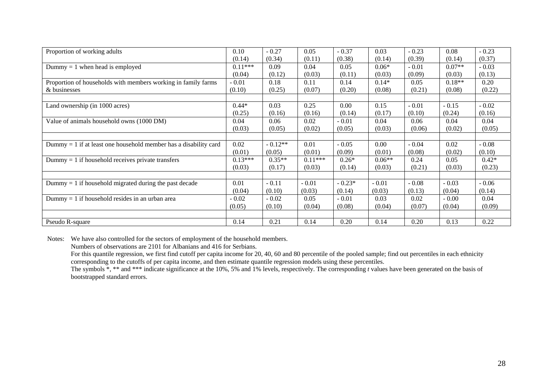| Proportion of working adults                                       | 0.10      | $-0.27$   | 0.05      | $-0.37$  | 0.03     | $-0.23$ | 0.08     | $-0.23$ |
|--------------------------------------------------------------------|-----------|-----------|-----------|----------|----------|---------|----------|---------|
|                                                                    | (0.14)    | (0.34)    | (0.11)    | (0.38)   | (0.14)   | (0.39)  | (0.14)   | (0.37)  |
| Dummy $= 1$ when head is employed                                  | $0.11***$ | 0.09      | 0.04      | 0.05     | $0.06*$  | $-0.01$ | $0.07**$ | $-0.03$ |
|                                                                    | (0.04)    | (0.12)    | (0.03)    | (0.11)   | (0.03)   | (0.09)  | (0.03)   | (0.13)  |
| Proportion of households with members working in family farms      | $-0.01$   | 0.18      | 0.11      | 0.14     | $0.14*$  | 0.05    | $0.18**$ | 0.20    |
| & businesses                                                       | (0.10)    | (0.25)    | (0.07)    | (0.20)   | (0.08)   | (0.21)  | (0.08)   | (0.22)  |
|                                                                    |           |           |           |          |          |         |          |         |
| Land ownership (in 1000 acres)                                     | $0.44*$   | 0.03      | 0.25      | 0.00     | 0.15     | $-0.01$ | $-0.15$  | $-0.02$ |
|                                                                    | (0.25)    | (0.16)    | (0.16)    | (0.14)   | (0.17)   | (0.10)  | (0.24)   | (0.16)  |
| Value of animals household owns (1000 DM)                          | 0.04      | 0.06      | 0.02      | $-0.01$  | 0.04     | 0.06    | 0.04     | 0.04    |
|                                                                    | (0.03)    | (0.05)    | (0.02)    | (0.05)   | (0.03)   | (0.06)  | (0.02)   | (0.05)  |
|                                                                    |           |           |           |          |          |         |          |         |
| Dummy $= 1$ if at least one household member has a disability card | 0.02      | $-0.12**$ | 0.01      | $-0.05$  | 0.00     | $-0.04$ | 0.02     | $-0.08$ |
|                                                                    | (0.01)    | (0.05)    | (0.01)    | (0.09)   | (0.01)   | (0.08)  | (0.02)   | (0.10)  |
| $Dummy = 1$ if household receives private transfers                | $0.13***$ | $0.35**$  | $0.11***$ | $0.26*$  | $0.06**$ | 0.24    | 0.05     | $0.42*$ |
|                                                                    | (0.03)    | (0.17)    | (0.03)    | (0.14)   | (0.03)   | (0.21)  | (0.03)   | (0.23)  |
|                                                                    |           |           |           |          |          |         |          |         |
| Dummy $= 1$ if household migrated during the past decade           | 0.01      | $-0.11$   | $-0.01$   | $-0.23*$ | $-0.01$  | $-0.08$ | $-0.03$  | $-0.06$ |
|                                                                    | (0.04)    | (0.10)    | (0.03)    | (0.14)   | (0.03)   | (0.13)  | (0.04)   | (0.14)  |
| Dummy $= 1$ if household resides in an urban area                  | $-0.02$   | $-0.02$   | 0.05      | $-0.01$  | 0.03     | 0.02    | $-0.00$  | 0.04    |
|                                                                    | (0.05)    | (0.10)    | (0.04)    | (0.08)   | (0.04)   | (0.07)  | (0.04)   | (0.09)  |
|                                                                    |           |           |           |          |          |         |          |         |
| Pseudo R-square                                                    | 0.14      | 0.21      | 0.14      | 0.20     | 0.14     | 0.20    | 0.13     | 0.22    |

Notes: We have also controlled for the sectors of employment of the household members.

Numbers of observations are 2101 for Albanians and 416 for Serbians.

For this quantile regression, we first find cutoff per capita income for 20, 40, 60 and 80 percentile of the pooled sample; find out percentiles in each ethnicity corresponding to the cutoffs of per capita income, and then estimate quantile regression models using these percentiles.

The symbols  $\checkmark$ ,  $**$  and  $***$  indicate significance at the 10%, 5% and 1% levels, respectively. The corresponding *t* values have been generated on the basis of bootstrapped standard errors.